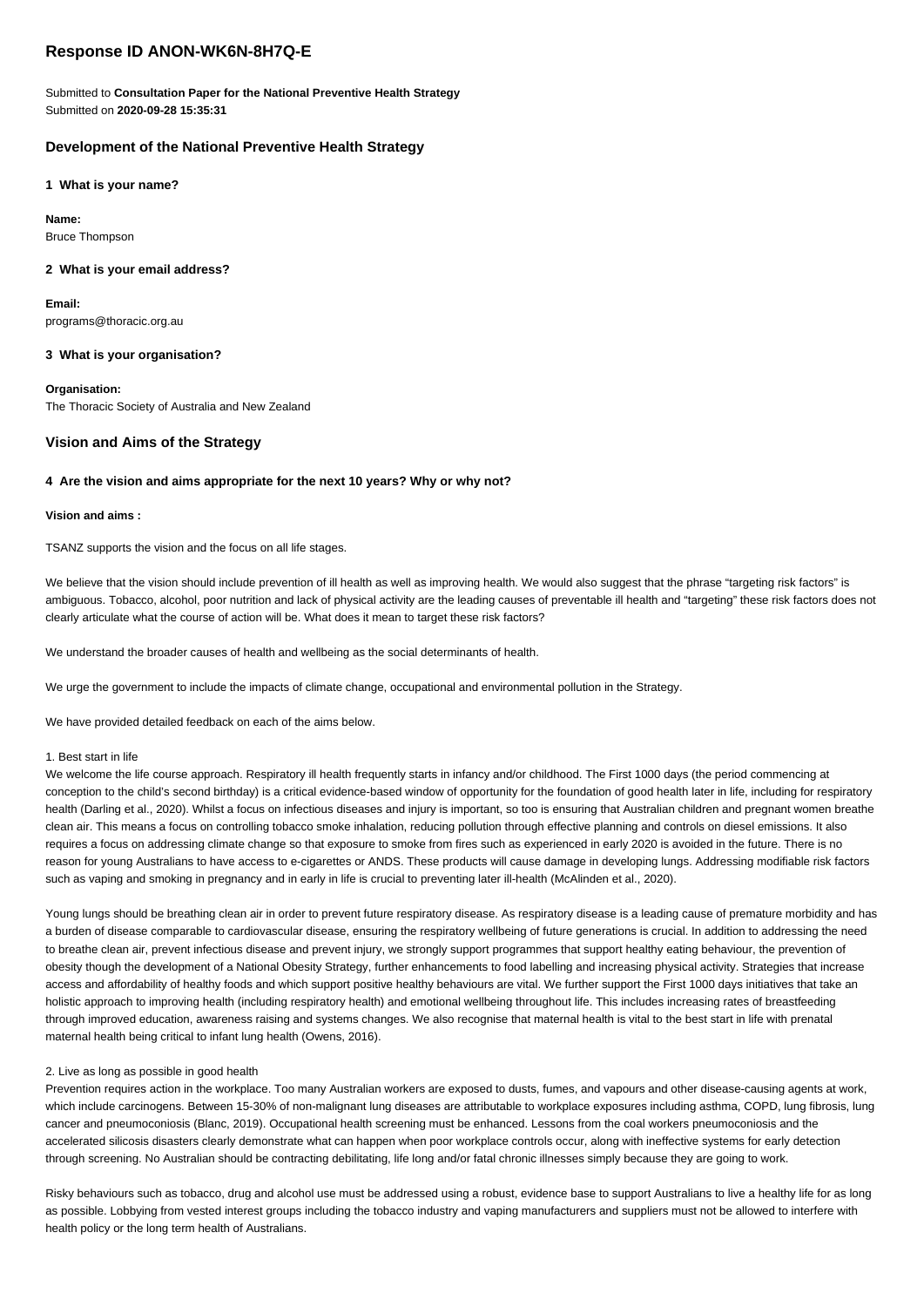# **Response ID ANON-WK6N-8H7Q-E**

Submitted to **Consultation Paper for the National Preventive Health Strategy** Submitted on **2020-09-28 15:35:31**

# **Development of the National Preventive Health Strategy**

**1 What is your name?**

**Name:** Bruce Thompson

# **2 What is your email address?**

**Email:** programs@thoracic.org.au

# **3 What is your organisation?**

**Organisation:** The Thoracic Society of Australia and New Zealand

# **Vision and Aims of the Strategy**

# **4 Are the vision and aims appropriate for the next 10 years? Why or why not?**

# **Vision and aims :**

TSANZ supports the vision and the focus on all life stages.

We believe that the vision should include prevention of ill health as well as improving health. We would also suggest that the phrase "targeting risk factors" is ambiguous. Tobacco, alcohol, poor nutrition and lack of physical activity are the leading causes of preventable ill health and "targeting" these risk factors does not clearly articulate what the course of action will be. What does it mean to target these risk factors?

We understand the broader causes of health and wellbeing as the social determinants of health.

We urge the government to include the impacts of climate change, occupational and environmental pollution in the Strategy.

We have provided detailed feedback on each of the aims below.

# 1. Best start in life

We welcome the life course approach. Respiratory ill health frequently starts in infancy and/or childhood. The First 1000 days (the period commencing at conception to the child's second birthday) is a critical evidence-based window of opportunity for the foundation of good health later in life, including for respiratory health (Darling et al., 2020). Whilst a focus on infectious diseases and injury is important, so too is ensuring that Australian children and pregnant women breathe clean air. This means a focus on controlling tobacco smoke inhalation, reducing pollution through effective planning and controls on diesel emissions. It also requires a focus on addressing climate change so that exposure to smoke from fires such as experienced in early 2020 is avoided in the future. There is no reason for young Australians to have access to e-cigarettes or ANDS. These products will cause damage in developing lungs. Addressing modifiable risk factors such as vaping and smoking in pregnancy and in early in life is crucial to preventing later ill-health (McAlinden et al., 2020).

Young lungs should be breathing clean air in order to prevent future respiratory disease. As respiratory disease is a leading cause of premature morbidity and has a burden of disease comparable to cardiovascular disease, ensuring the respiratory wellbeing of future generations is crucial. In addition to addressing the need to breathe clean air, prevent infectious disease and prevent injury, we strongly support programmes that support healthy eating behaviour, the prevention of obesity though the development of a National Obesity Strategy, further enhancements to food labelling and increasing physical activity. Strategies that increase access and affordability of healthy foods and which support positive healthy behaviours are vital. We further support the First 1000 days initiatives that take an holistic approach to improving health (including respiratory health) and emotional wellbeing throughout life. This includes increasing rates of breastfeeding through improved education, awareness raising and systems changes. We also recognise that maternal health is vital to the best start in life with prenatal maternal health being critical to infant lung health (Owens, 2016).

# 2. Live as long as possible in good health

Prevention requires action in the workplace. Too many Australian workers are exposed to dusts, fumes, and vapours and other disease-causing agents at work, which include carcinogens. Between 15-30% of non-malignant lung diseases are attributable to workplace exposures including asthma, COPD, lung fibrosis, lung cancer and pneumoconiosis (Blanc, 2019). Occupational health screening must be enhanced. Lessons from the coal workers pneumoconiosis and the accelerated silicosis disasters clearly demonstrate what can happen when poor workplace controls occur, along with ineffective systems for early detection through screening. No Australian should be contracting debilitating, life long and/or fatal chronic illnesses simply because they are going to work.

Risky behaviours such as tobacco, drug and alcohol use must be addressed using a robust, evidence base to support Australians to live a healthy life for as long as possible. Lobbying from vested interest groups including the tobacco industry and vaping manufacturers and suppliers must not be allowed to interfere with health policy or the long term health of Australians.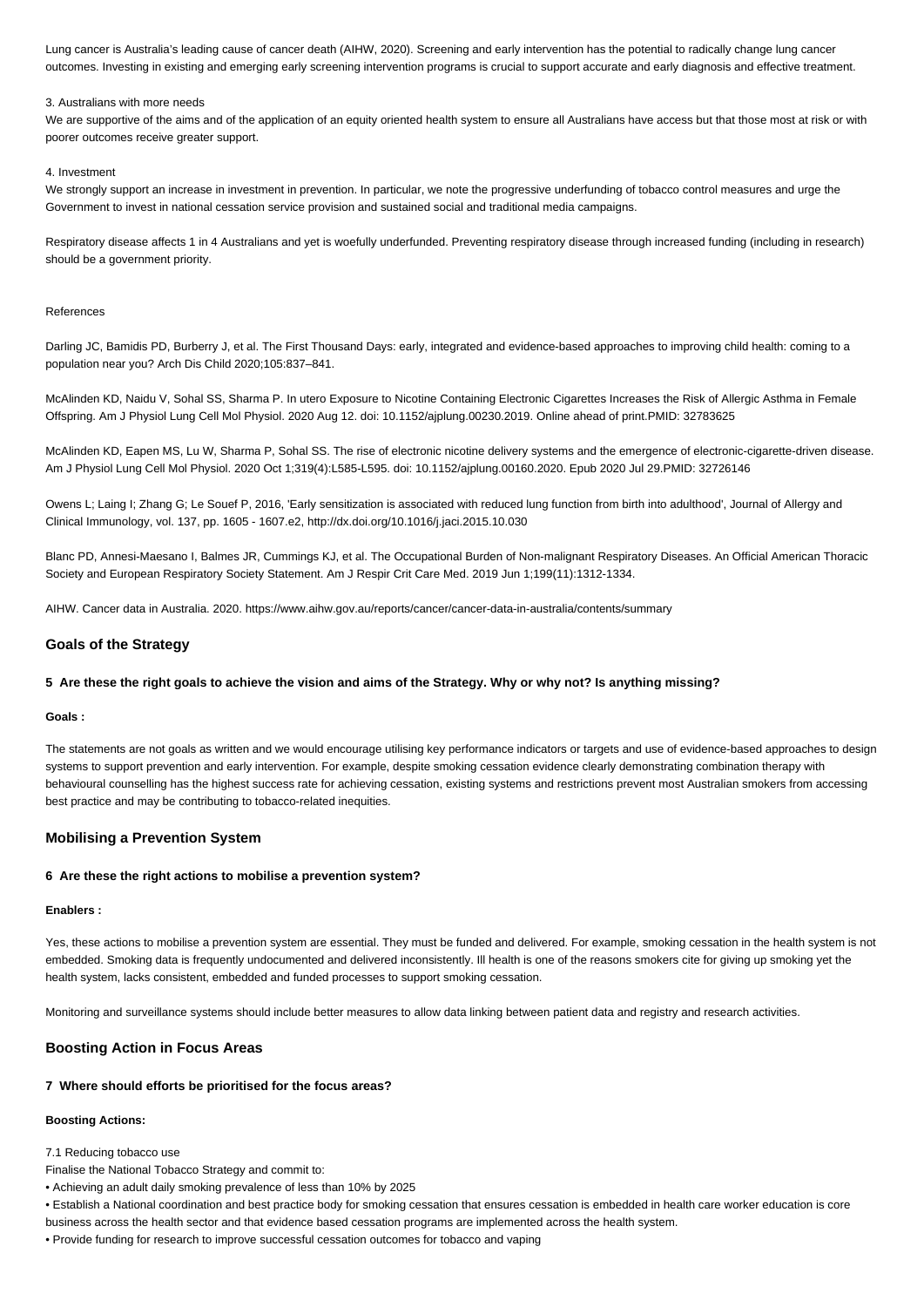Lung cancer is Australia's leading cause of cancer death (AIHW, 2020). Screening and early intervention has the potential to radically change lung cancer outcomes. Investing in existing and emerging early screening intervention programs is crucial to support accurate and early diagnosis and effective treatment.

### 3. Australians with more needs

We are supportive of the aims and of the application of an equity oriented health system to ensure all Australians have access but that those most at risk or with poorer outcomes receive greater support.

### 4. Investment

We strongly support an increase in investment in prevention. In particular, we note the progressive underfunding of tobacco control measures and urge the Government to invest in national cessation service provision and sustained social and traditional media campaigns.

Respiratory disease affects 1 in 4 Australians and yet is woefully underfunded. Preventing respiratory disease through increased funding (including in research) should be a government priority.

#### References

Darling JC, Bamidis PD, Burberry J, et al. The First Thousand Days: early, integrated and evidence-based approaches to improving child health: coming to a population near you? Arch Dis Child 2020;105:837–841.

McAlinden KD, Naidu V, Sohal SS, Sharma P. In utero Exposure to Nicotine Containing Electronic Cigarettes Increases the Risk of Allergic Asthma in Female Offspring. Am J Physiol Lung Cell Mol Physiol. 2020 Aug 12. doi: 10.1152/ajplung.00230.2019. Online ahead of print.PMID: 32783625

McAlinden KD, Eapen MS, Lu W, Sharma P, Sohal SS. The rise of electronic nicotine delivery systems and the emergence of electronic-cigarette-driven disease. Am J Physiol Lung Cell Mol Physiol. 2020 Oct 1;319(4):L585-L595. doi: 10.1152/ajplung.00160.2020. Epub 2020 Jul 29.PMID: 32726146

Owens L; Laing I; Zhang G; Le Souef P, 2016, 'Early sensitization is associated with reduced lung function from birth into adulthood', Journal of Allergy and Clinical Immunology, vol. 137, pp. 1605 - 1607.e2, http://dx.doi.org/10.1016/j.jaci.2015.10.030

Blanc PD, Annesi-Maesano I, Balmes JR, Cummings KJ, et al. The Occupational Burden of Non-malignant Respiratory Diseases. An Official American Thoracic Society and European Respiratory Society Statement. Am J Respir Crit Care Med. 2019 Jun 1;199(11):1312-1334.

AIHW. Cancer data in Australia. 2020. https://www.aihw.gov.au/reports/cancer/cancer-data-in-australia/contents/summary

## **Goals of the Strategy**

#### **5 Are these the right goals to achieve the vision and aims of the Strategy. Why or why not? Is anything missing?**

#### **Goals :**

The statements are not goals as written and we would encourage utilising key performance indicators or targets and use of evidence-based approaches to design systems to support prevention and early intervention. For example, despite smoking cessation evidence clearly demonstrating combination therapy with behavioural counselling has the highest success rate for achieving cessation, existing systems and restrictions prevent most Australian smokers from accessing best practice and may be contributing to tobacco-related inequities.

## **Mobilising a Prevention System**

## **6 Are these the right actions to mobilise a prevention system?**

### **Enablers :**

Yes, these actions to mobilise a prevention system are essential. They must be funded and delivered. For example, smoking cessation in the health system is not embedded. Smoking data is frequently undocumented and delivered inconsistently. Ill health is one of the reasons smokers cite for giving up smoking yet the health system, lacks consistent, embedded and funded processes to support smoking cessation.

Monitoring and surveillance systems should include better measures to allow data linking between patient data and registry and research activities.

## **Boosting Action in Focus Areas**

### **7 Where should efforts be prioritised for the focus areas?**

### **Boosting Actions:**

#### 7.1 Reducing tobacco use

- Finalise the National Tobacco Strategy and commit to:
- Achieving an adult daily smoking prevalence of less than 10% by 2025
- Establish a National coordination and best practice body for smoking cessation that ensures cessation is embedded in health care worker education is core
- business across the health sector and that evidence based cessation programs are implemented across the health system.
- Provide funding for research to improve successful cessation outcomes for tobacco and vaping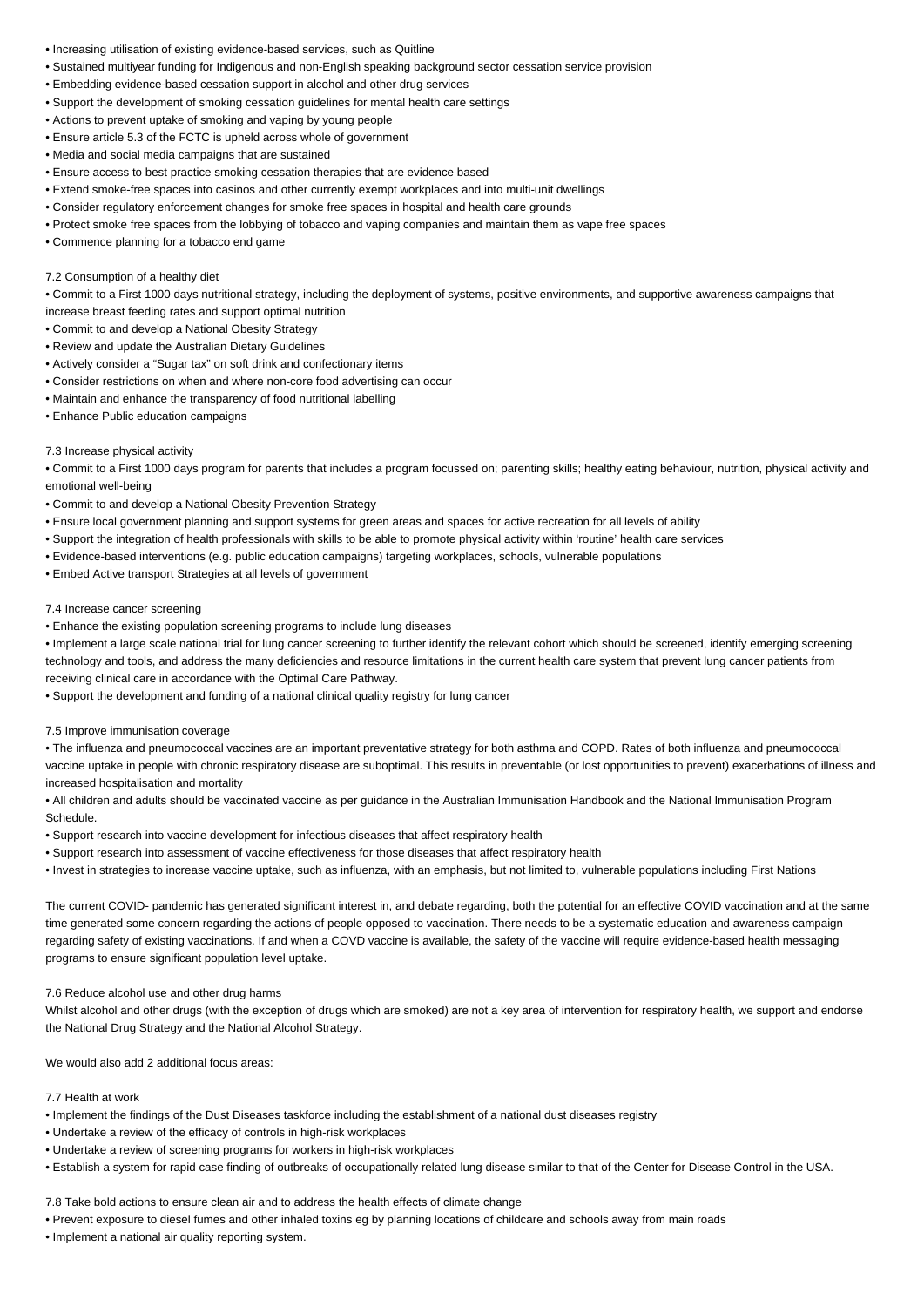- Increasing utilisation of existing evidence-based services, such as Quitline
- Sustained multiyear funding for Indigenous and non-English speaking background sector cessation service provision
- Embedding evidence-based cessation support in alcohol and other drug services
- Support the development of smoking cessation guidelines for mental health care settings
- Actions to prevent uptake of smoking and vaping by young people
- Ensure article 5.3 of the FCTC is upheld across whole of government
- Media and social media campaigns that are sustained
- Ensure access to best practice smoking cessation therapies that are evidence based
- Extend smoke-free spaces into casinos and other currently exempt workplaces and into multi-unit dwellings
- Consider regulatory enforcement changes for smoke free spaces in hospital and health care grounds
- Protect smoke free spaces from the lobbying of tobacco and vaping companies and maintain them as vape free spaces
- Commence planning for a tobacco end game

### 7.2 Consumption of a healthy diet

• Commit to a First 1000 days nutritional strategy, including the deployment of systems, positive environments, and supportive awareness campaigns that increase breast feeding rates and support optimal nutrition

- Commit to and develop a National Obesity Strategy
- Review and update the Australian Dietary Guidelines
- Actively consider a "Sugar tax" on soft drink and confectionary items
- Consider restrictions on when and where non-core food advertising can occur
- Maintain and enhance the transparency of food nutritional labelling
- Enhance Public education campaigns

### 7.3 Increase physical activity

• Commit to a First 1000 days program for parents that includes a program focussed on; parenting skills; healthy eating behaviour, nutrition, physical activity and emotional well-being

- Commit to and develop a National Obesity Prevention Strategy
- Ensure local government planning and support systems for green areas and spaces for active recreation for all levels of ability
- Support the integration of health professionals with skills to be able to promote physical activity within 'routine' health care services
- Evidence-based interventions (e.g. public education campaigns) targeting workplaces, schools, vulnerable populations
- Embed Active transport Strategies at all levels of government

## 7.4 Increase cancer screening

• Enhance the existing population screening programs to include lung diseases

• Implement a large scale national trial for lung cancer screening to further identify the relevant cohort which should be screened, identify emerging screening technology and tools, and address the many deficiencies and resource limitations in the current health care system that prevent lung cancer patients from receiving clinical care in accordance with the Optimal Care Pathway.

• Support the development and funding of a national clinical quality registry for lung cancer

### 7.5 Improve immunisation coverage

• The influenza and pneumococcal vaccines are an important preventative strategy for both asthma and COPD. Rates of both influenza and pneumococcal vaccine uptake in people with chronic respiratory disease are suboptimal. This results in preventable (or lost opportunities to prevent) exacerbations of illness and increased hospitalisation and mortality

• All children and adults should be vaccinated vaccine as per guidance in the Australian Immunisation Handbook and the National Immunisation Program Schedule.

- Support research into vaccine development for infectious diseases that affect respiratory health
- Support research into assessment of vaccine effectiveness for those diseases that affect respiratory health
- Invest in strategies to increase vaccine uptake, such as influenza, with an emphasis, but not limited to, vulnerable populations including First Nations

The current COVID- pandemic has generated significant interest in, and debate regarding, both the potential for an effective COVID vaccination and at the same time generated some concern regarding the actions of people opposed to vaccination. There needs to be a systematic education and awareness campaign regarding safety of existing vaccinations. If and when a COVD vaccine is available, the safety of the vaccine will require evidence-based health messaging programs to ensure significant population level uptake.

## 7.6 Reduce alcohol use and other drug harms

Whilst alcohol and other drugs (with the exception of drugs which are smoked) are not a key area of intervention for respiratory health, we support and endorse the National Drug Strategy and the National Alcohol Strategy.

We would also add 2 additional focus areas:

# 7.7 Health at work

- Implement the findings of the Dust Diseases taskforce including the establishment of a national dust diseases registry
- Undertake a review of the efficacy of controls in high-risk workplaces
- Undertake a review of screening programs for workers in high-risk workplaces
- Establish a system for rapid case finding of outbreaks of occupationally related lung disease similar to that of the Center for Disease Control in the USA.

# 7.8 Take bold actions to ensure clean air and to address the health effects of climate change

- Prevent exposure to diesel fumes and other inhaled toxins eg by planning locations of childcare and schools away from main roads
- Implement a national air quality reporting system.